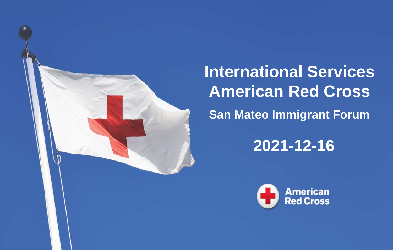

**International Services American Red Cross San Mateo Immigrant Forum**

**2021-12-16**

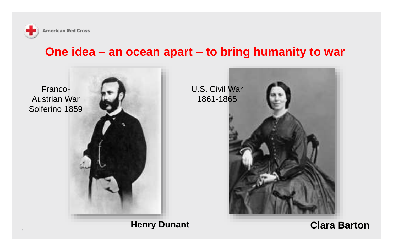

#### **One idea – an ocean apart – to bring humanity to war**



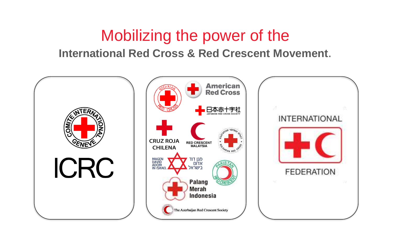### Mobilizing the power of the

#### **International Red Cross & Red Crescent Movement**.

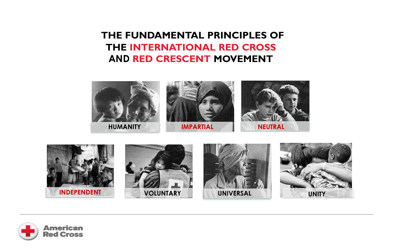#### **THE FUNDAMENTAL PRINCIPLES OF THE INTERNATIONAL RED CROSS AND RED CRESCENT MOVEMENT**





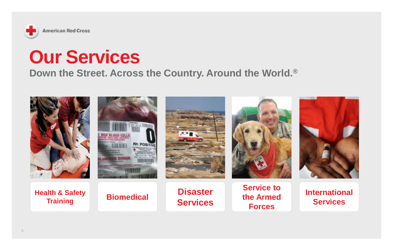

### **Our Services**

#### **Down the Street. Across the Country. Around the World.®**

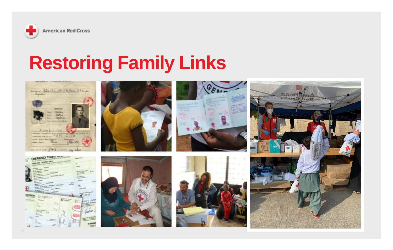

MARINER & ABUSINE OF P. E.

## **Restoring Family Links**









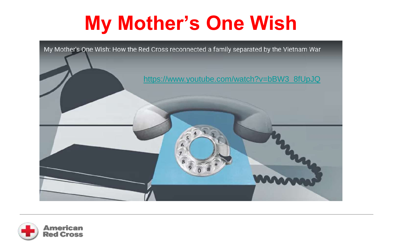# **My Mother's One Wish**



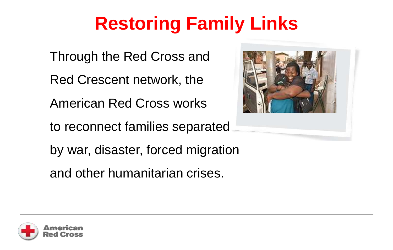## **Restoring Family Links**

Through the Red Cross and Red Crescent network, the American Red Cross works to reconnect families separated by war, disaster, forced migration

and other humanitarian crises.



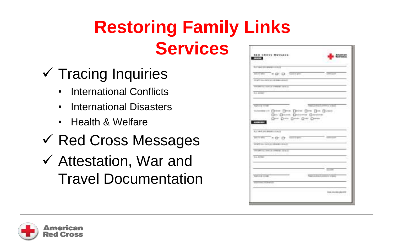## **Restoring Family Links Services**

- $\checkmark$  Tracing Inquiries
	- International Conflicts
	- International Disasters
	- Health & Welfare
- ✓ Red Cross Messages
- ✓ Attestation, War and Travel Documentation

| RED CROSS MESSAGE:<br><b>Street Committee Committee</b>                |                                    |
|------------------------------------------------------------------------|------------------------------------|
| A.C. rated public property and the chi-                                |                                    |
| contem - m D D Assnaw                                                  |                                    |
| WHEN THE TANK OF FIREDRICATED                                          |                                    |
| <b>CONTRACTOR</b> CONTRACTO                                            |                                    |
| <b>LL arms</b>                                                         |                                    |
|                                                                        |                                    |
| <b>Rathering monetic</b><br>retentered Drive Deat Drive Don Den Detect | THE CANDIDAL COMPANY STREET        |
| Dr. Denn, Descrito Direiro                                             |                                    |
| Der Der Den Der Derer<br><b>COMMERCIAL</b>                             |                                    |
|                                                                        |                                    |
| ALC: UNK ON A GROUP - IT ALC:                                          |                                    |
| <b>INVIRS ALCOHOL: SECTION</b>                                         |                                    |
| WHEN IS, WE IN HEAT LEAD.                                              |                                    |
| <b>COURTES ON A PRINT COAT</b>                                         |                                    |
| Total Antiques                                                         |                                    |
|                                                                        |                                    |
|                                                                        | <b>Scott</b>                       |
| <b>ANTI CARDS</b>                                                      | <b>County of the Common County</b> |
| with the control and                                                   |                                    |
|                                                                        |                                    |
|                                                                        |                                    |

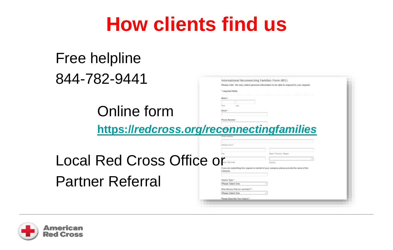## **How clients find us**

### Free helpline 844-782-9441

Online form



**https://***[redcross.org/reconnectingfamilies](https://redcross.org/reconnectingfamilies)*

**Floore Months** 

**Local Red Cross Office** Partner Referral

| Ou                                      | <b>Blake / Programs / Region</b>                                                      |  |
|-----------------------------------------|---------------------------------------------------------------------------------------|--|
| вø                                      |                                                                                       |  |
| $\cos^{-1}\theta$ form                  | Town                                                                                  |  |
| <b>Lompany</b>                          | If you are submitting this request on beholf of your assigany presse provide the name |  |
|                                         |                                                                                       |  |
| Impoling Tigger 1<br>Please Select Dire | w                                                                                     |  |
| How did you find our services? **       |                                                                                       |  |

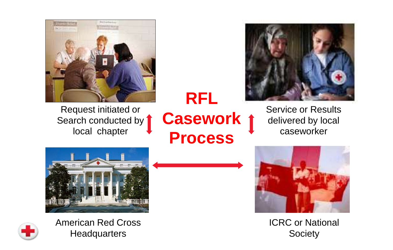

Request initiated or Search conducted by 1 local chapter

### **RFL Casework Process**



Service or Results delivered by local caseworker





American Red Cross **Headquarters** 



ICRC or National Society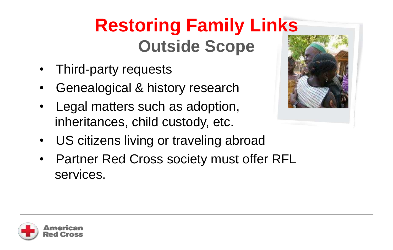## **Restoring Family Links Outside Scope**

- Third-party requests
- Genealogical & history research
- Legal matters such as adoption, inheritances, child custody, etc.
- US citizens living or traveling abroad
- Partner Red Cross society must offer RFL services.



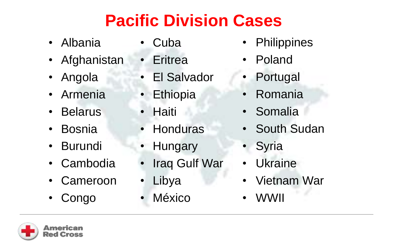### **Pacific Division Cases**

- Albania
- Afghanistan
- Angola
- Armenia
- Belarus
- Bosnia
- Burundi
- Cambodia
- Cameroon
- Congo
- Cuba
- **Eritrea**
- El Salvador
- Ethiopia
- Haiti
- **Honduras**
- Hungary
- Iraq Gulf War
- Libya
- **México**
- **Philippines**
- Poland
- **Portugal**
- Romania
- Somalia
- South Sudan
- **Syria**
- **Ukraine**
- Vietnam War
- WWII

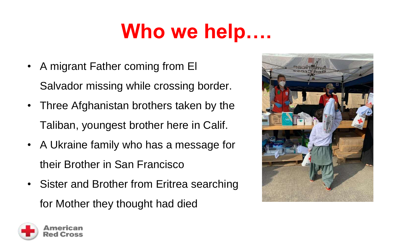# **Who we help….**

- A migrant Father coming from El Salvador missing while crossing border.
- Three Afghanistan brothers taken by the Taliban, youngest brother here in Calif.
- A Ukraine family who has a message for their Brother in San Francisco
- Sister and Brother from Eritrea searching for Mother they thought had died



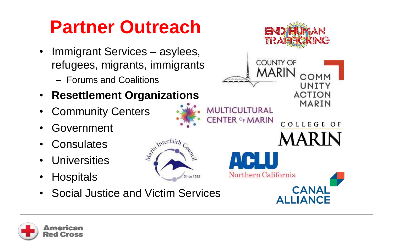### **Partner Outreach**

- Immigrant Services asylees, refugees, migrants, immigrants
	- Forums and Coalitions
- **Resettlement Organizations**
- Community Centers
- Government
- Consulates
- Universities
- Hospitals
- Social Justice and Victim Services

Agint Interfaith

Since 1982



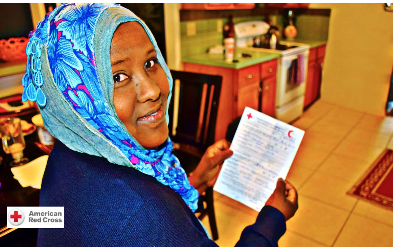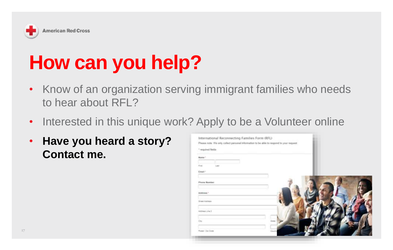

# **How can you help?**

- Know of an organization serving immigrant families who needs to hear about RFL?
- Interested in this unique work? Apply to be a Volunteer online
- **Have you heard a story? Contact me.**

| * required Beldy.<br><b>Bane</b> |       |        |
|----------------------------------|-------|--------|
|                                  |       |        |
| Free                             | Lett. |        |
| Email:                           |       |        |
| <b><i>Phone Bunder:</i></b>      |       |        |
|                                  |       |        |
| Address **                       |       |        |
| Street-Astriage                  |       |        |
| Address Line II                  |       |        |
| $\Xi\pi_I$                       |       | Scope) |
|                                  |       |        |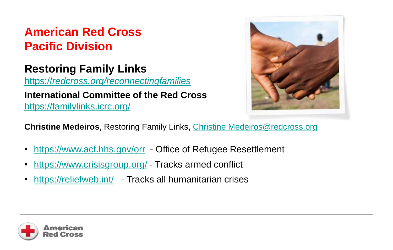### **American Red Cross Pacific Division**

### **Restoring Family Links**

https://*[redcross.org/reconnectingfamilies](https://redcross.org/reconnectingfamilies)*

#### **International Committee of the Red Cross** <https://familylinks.icrc.org/>



**Christine Medeiros**, Restoring Family Links, [Christine.Medeiros@redcross.org](mailto:Christine.Medeiros@redcross.org)

- <https://www.acf.hhs.gov/orr> Office of Refugee Resettlement
- <https://www.crisisgroup.org/> Tracks armed conflict
- <https://reliefweb.int/> Tracks all humanitarian crises